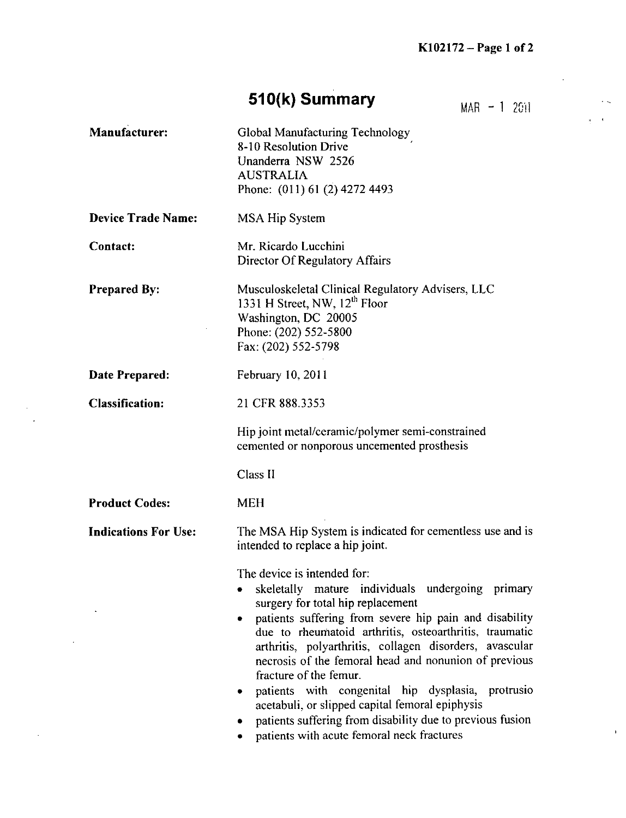## **510(k) Summary**  $MAR = 1, 2011$

Manufacturer: Global Manufacturing Technology **8-10** Resolution Drive Unanderra **NSW 2526 AUSTRALIA** Phone: (011) 61 (2) 4272 4493 Device Trade Name: **MSA** Hip System Contact: Mr. Ricardo Lucchini Director **Of** Regulatory Affairs Prepared **By:** Musculoskeletal Clinical Regulatory Advisers, **LLC** 1331 H Street, NW, 12<sup>th</sup> Floor Washington, **DC 20005** Phone: (202) **552-5800** Fax: (202) **552-5798** Date Prepared: February 10, 2011 Classification: 21 CER **888.3353** Hip joint metal/ceramic/polymer semi-constrained cemented or nonporous uncemented prosthesis Class **11** Product Codes: MEH Indications For Use: The **MSA** Hip System is indicated for cementless use and is intended to replace a hip joint. The device is intended for: skeletally mature individuals undergoing primary surgery for total hip replacement • patients suffering from severe hip pain and disability due to rheumatoid arthritis, osteoarthritis, traumatic arthritis, polyarthritis, collagen disorders, avascular necrosis of the femoral head and nonunion of previous fracture of the femur. \* patients with congenital hip dysplasia, protrusio acetabuli, or slipped capital femoral epiphysis patients suffering from disability due to previous fusion patients with acute femoral neck fractures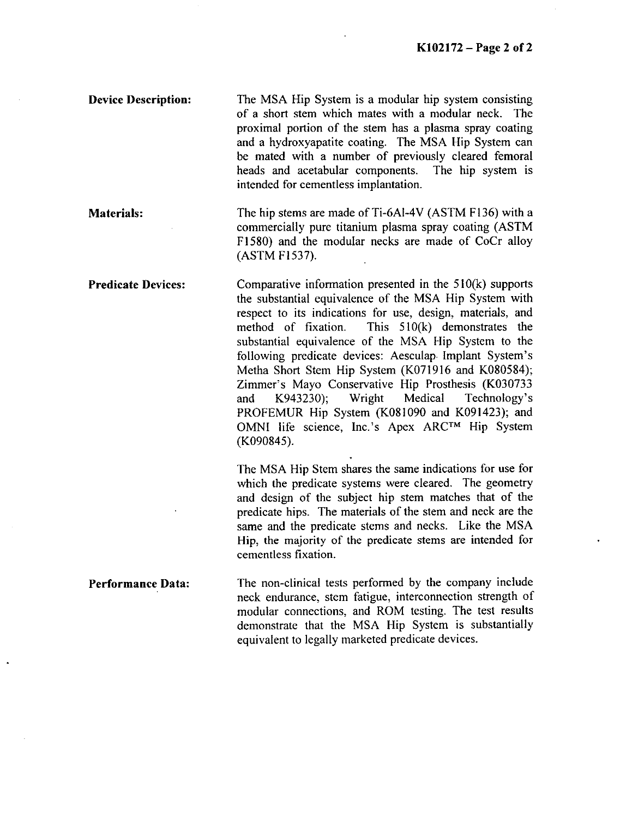Device Description: The **MSA** Hip System is a modular hip system consisting of a short stem which mates with a modular neck. The proximal portion of the stem has a plasma spray coating and a hydroxyapatite coating. The **MSA** Hip System can be mated with a number of previously cleared femoral heads and acetabular components. The hip system is intended for cementless implantation.

Materials: The hip stems are made of Ti-6A1-4V **(ASTM F136)** with a commercially pure titanium plasma spray coating **(ASTM F 1580)** and the modular necks are made of CoCr alloy **(ASTM F1537).**

Predicate Devices: Comparative information presented in the **510(k)** supports the substantial equivalence of the **MSA** Hip System with respect to its indications for use, design, materials, and method of fixation. This **510(k)** demonstrates the substantial equivalence of the **MSA** Hip System to the following predicate devices: Aesculap. Implant System's Metha Short Stem Hip System **(K071916** and K080584); Zimmer's Mayo Conservative Hip Prosthesis **(K030733** and K943230); Wright Medical Technology's PROFEMUR Hip System (K081090 and K091423); and **OMNI** life science, Inc.'s Apex **ARCTM** Hip System (K090845).

> The **MSA** Hip Stem shares the same indications for use for which the predicate systems were cleared. The geometry and design of the subject hip stem matches that of the predicate hips. The materials of the stem and neck are the same and the predicate stems and necks. Like the **MSA** Hip, the majority of the predicate stems are intended for cementless fixation.

Performance Data: The non-clinical tests performed **by** the company include neck endurance, stem fatigue, interconnection strength of modular connections, and ROM testing. The test results demonstrate that the **MSA** Hip System is substantially equivalent to legally marketed predicate devices.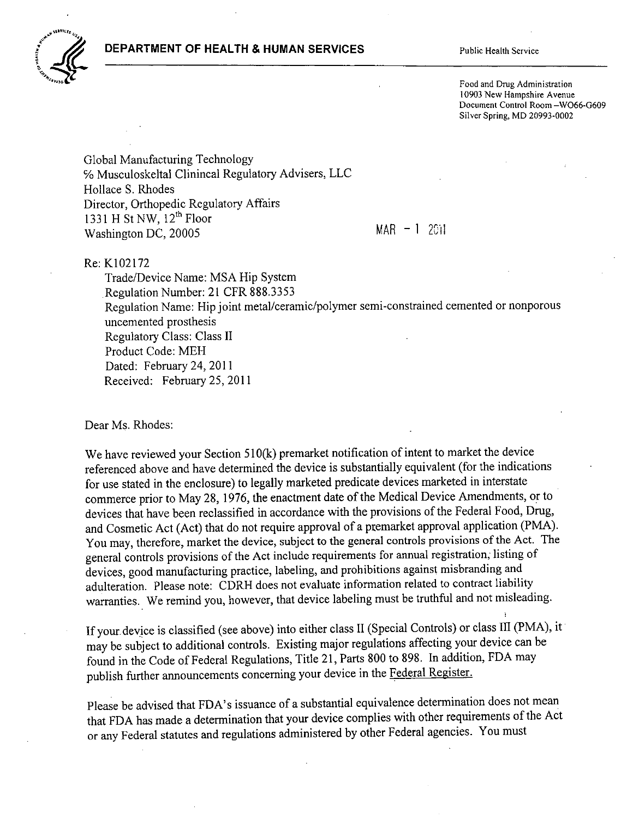## **DEPARTMENT OF HEALTH & HUMAN SERVICES** Public Health Service



Food and Drug Administration **10903** New Hampshire Avenue Document Control Room **-W066-0609** Silver Spring, MD **20993-0002**

Global Manufacturing Technology **%** Musculoskeltal Clinincal Regulatory Advisers, **LLC** Hollace **S.** Rhodes Director, Orthopedic Regulatory Affairs 1331 **H** St NW, 12<sup>th</sup> Floor Washington **DC, 20005** MAR **-1** <sup>2011</sup>

Re: K102172

Trade/Device Name: **MSA** Hip System Regulation Number: 21 CFR **888.3353** Regulation Name: Hip joint metal/ceramic/polymer semi-constrained cemented or nonporous uncemented prosthesis Regulatory Class: Class **11** Product Code: MEH Dated: February 24, 2011 Received: February 25, 2011

Dear Ms. Rhodes:

We have reviewed your Section 510(k) premarket notification of intent to market the device referenced above and have determined the device is substantially equivalent (for the indications for use stated in the enclosure) to legally marketed predicate devices marketed in interstate commerce prior to May **28, 1976,** the enactment date of the Medical Device Amendments, or to devices that have been reclassified in accordance with the provisions of the Federal Food, Drug, and Cosmetic Act (Act) that do not require approval of a premarket approval application (PMA). You may, therefore, market the device, subject to the general controls provisions of the Act. The general controls provisions of the Act include requirements for annual registration; listing of devices, good manufacturing practice, labeling, and prohibitions against misbranding and adulteration. Please note: CDRH does not evaluate information related to contract liability warranties. We remind you, however, that device labeling must be truthful and not misleading.

**If** your-device is classified (see above) into either class **11** (Special Controls) or class III (PMA), it may be subject to additional controls. Existing major regulations affecting your device can be found in the Code of Federal Regulations, Title 21, Parts **800** to **898.** In addition, **FDA** may publish further announcements concerning your device in the Federal Register.

Please be advised that FDA's issuance of a substantial equivalence determination does not mean that **FDA** has made a determination that your device complies with other requirements of the Act or any Federal statutes and regulations administered **by** other Federal agencies. You must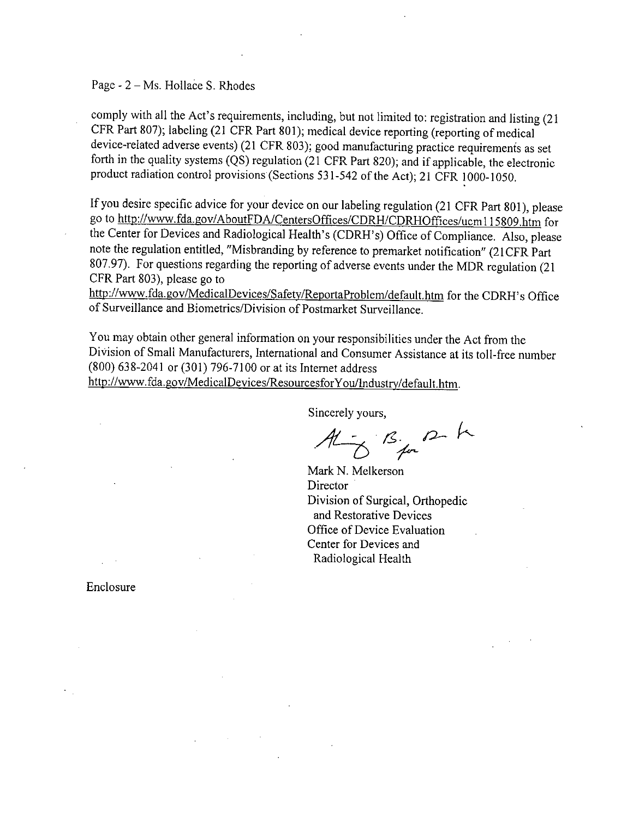Page **-** 2 **-** Ms. Hollabe **S.** Rhodes

comply with all the Act's requirements, including, but not limited to: registration and listing (21 CFR\_ Part **807);** labeling (21 CER Part **801);** medical device reporting (reporting of medical device-related adverse events) (21 CFR **803);** good manufacturing practice requirements as set forth in the quality systems **(QS)** regulation (21 CFR Part **820);** and if applicable, the electronic product radiation control provisions (Sections **53 1-542** of the Act); 21 CFR **1000-1050.**

**If** you desire specific advice for your device on our labeling regulation (21 CER Part **801),** please go to http://www.fda.gov/AboutFDA/CentersOffices/CDRH/CDRHOffices/ucm 115809.htm for the Center for Devices and Radiological Health's (CDRH's) Office of Compliance. Also, please note the regulation entitled, "Misbranding **by** reference to premarket notification" (2 **1** CFR Part **807.97).** For questions regarding the reporting of adverse events under the MDR regulation (21 CFR Part **803),** please go to

http://www.fda.gov/MedicalDevices/Safety/ReportaProblem/default.htm for the CDRH's Office of Surveillance and Biometrics/Division of Postmarket Surveillance.

You may obtain other general information on your responsibilities under the Act from the Division of Small Manufacturers, International and Consumer Assistance at its toll-free number **(800)** 638-2041 or **(301) 796-7100** or at its Internet address http://www.fda.gov/MedicalDevices/ResourcesforYou/Industry/default.htm.

Sincerely yours,

 $A\overline{B}$  By  $B\overline{B}$ 

Mark **N.** Melkerson **Director** Division of Surgical, Orthopedic and Restorative Devices Office of Device Evaluation Center for Devices and Radiological Health

Enclosure